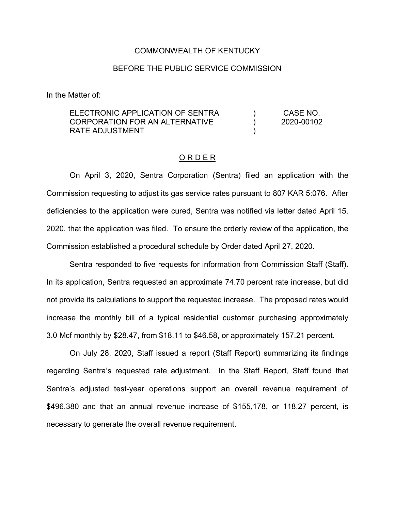### COMMONWEALTH OF KENTUCKY

### BEFORE THE PUBLIC SERVICE COMMISSION

In the Matter of:

| ELECTRONIC APPLICATION OF SENTRA | CASE NO.   |
|----------------------------------|------------|
| CORPORATION FOR AN ALTERNATIVE   | 2020-00102 |
| RATE ADJUSTMENT                  |            |

#### O R D E R

On April 3, 2020, Sentra Corporation (Sentra) filed an application with the Commission requesting to adjust its gas service rates pursuant to 807 KAR 5:076. After deficiencies to the application were cured, Sentra was notified via letter dated April 15, 2020, that the application was filed. To ensure the orderly review of the application, the Commission established a procedural schedule by Order dated April 27, 2020.

Sentra responded to five requests for information from Commission Staff (Staff). In its application, Sentra requested an approximate 74.70 percent rate increase, but did not provide its calculations to support the requested increase. The proposed rates would increase the monthly bill of a typical residential customer purchasing approximately 3.0 Mcf monthly by \$28.47, from \$18.11 to \$46.58, or approximately 157.21 percent.

On July 28, 2020, Staff issued a report (Staff Report) summarizing its findings regarding Sentra's requested rate adjustment. In the Staff Report, Staff found that Sentra's adjusted test-year operations support an overall revenue requirement of \$496,380 and that an annual revenue increase of \$155,178, or 118.27 percent, is necessary to generate the overall revenue requirement.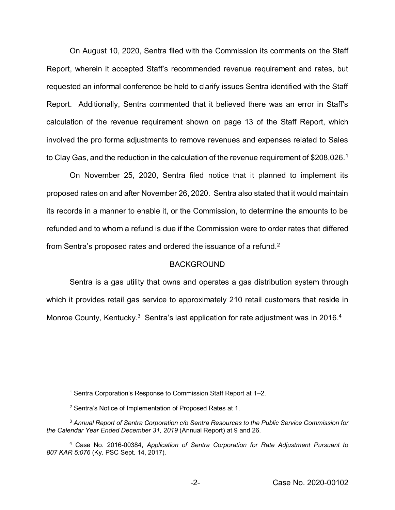On August 10, 2020, Sentra filed with the Commission its comments on the Staff Report, wherein it accepted Staff's recommended revenue requirement and rates, but requested an informal conference be held to clarify issues Sentra identified with the Staff Report. Additionally, Sentra commented that it believed there was an error in Staff's calculation of the revenue requirement shown on page 13 of the Staff Report, which involved the pro forma adjustments to remove revenues and expenses related to Sales to Clay Gas, and the reduction in the calculation of the revenue requirement of \$208,026.<sup>1</sup>

On November 25, 2020, Sentra filed notice that it planned to implement its proposed rates on and after November 26, 2020. Sentra also stated that it would maintain its records in a manner to enable it, or the Commission, to determine the amounts to be refunded and to whom a refund is due if the Commission were to order rates that differed from Sentra's proposed rates and ordered the issuance of a refund.<sup>2</sup>

#### BACKGROUND

Sentra is a gas utility that owns and operates a gas distribution system through which it provides retail gas service to approximately 210 retail customers that reside in Monroe County, Kentucky.<sup>3</sup> Sentra's last application for rate adjustment was in 2016.<sup>4</sup>

 <sup>1</sup> Sentra Corporation's Response to Commission Staff Report at 1–2.

<sup>2</sup> Sentra's Notice of Implementation of Proposed Rates at 1.

<sup>3</sup> *Annual Report of Sentra Corporation c/o Sentra Resources to the Public Service Commission for the Calendar Year Ended December 31, 2019* (Annual Report) at 9 and 26.

<sup>4</sup> Case No. 2016-00384, *Application of Sentra Corporation for Rate Adjustment Pursuant to 807 KAR 5:076* (Ky. PSC Sept. 14, 2017).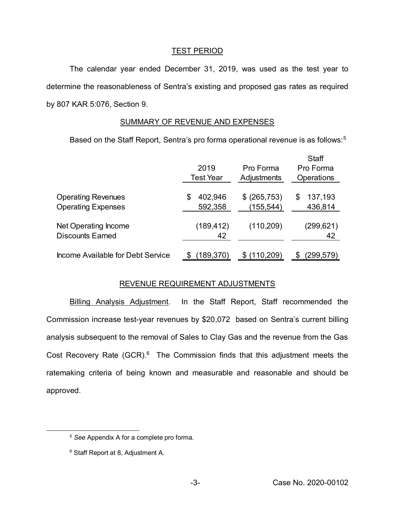### TEST PERIOD

The calendar year ended December 31, 2019, was used as the test year to determine the reasonableness of Sentra's existing and proposed gas rates as required by 807 KAR 5:076, Section 9.

# SUMMARY OF REVENUE AND EXPENSES

Based on the Staff Report, Sentra's pro forma operational revenue is as follows:<sup>5</sup>

|                                                        | 2019<br>Test Year       | Pro Forma<br>Adjustments  | <b>Staff</b><br>Pro Forma<br>Operations |
|--------------------------------------------------------|-------------------------|---------------------------|-----------------------------------------|
| <b>Operating Revenues</b><br><b>Operating Expenses</b> | 402,946<br>S<br>592,358 | \$ (265,753)<br>(155,544) | 137,193<br>S<br>436,814                 |
| Net Operating Income<br><b>Discounts Earned</b>        | (189, 412)<br>42        | (110, 209)                | (299,621)<br>42                         |
| Income Available for Debt Service                      | (189,370)               | (110,209)                 | (299,579)                               |

### REVENUE REQUIREMENT ADJUSTMENTS

Billing Analysis Adjustment. In the Staff Report, Staff recommended the Commission increase test-year revenues by \$20,072 based on Sentra's current billing analysis subsequent to the removal of Sales to Clay Gas and the revenue from the Gas Cost Recovery Rate (GCR).<sup>6</sup> The Commission finds that this adjustment meets the ratemaking criteria of being known and measurable and reasonable and should be approved.

 <sup>5</sup> *See* Appendix A for a complete pro forma.

<sup>6</sup> Staff Report at 8, Adjustment A.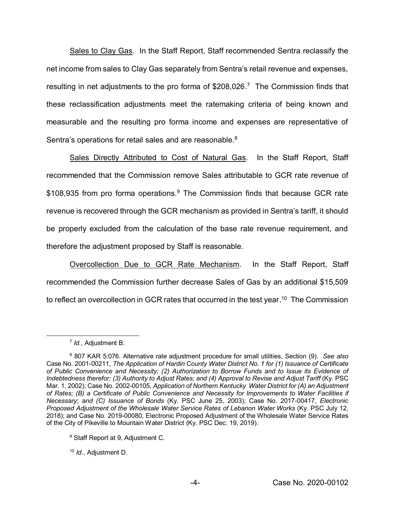Sales to Clay Gas. In the Staff Report, Staff recommended Sentra reclassify the net income from sales to Clay Gas separately from Sentra's retail revenue and expenses, resulting in net adjustments to the pro forma of \$208,026.<sup>7</sup> The Commission finds that these reclassification adjustments meet the ratemaking criteria of being known and measurable and the resulting pro forma income and expenses are representative of Sentra's operations for retail sales and are reasonable.<sup>8</sup>

Sales Directly Attributed to Cost of Natural Gas. In the Staff Report, Staff recommended that the Commission remove Sales attributable to GCR rate revenue of \$108,935 from pro forma operations.<sup>9</sup> The Commission finds that because GCR rate revenue is recovered through the GCR mechanism as provided in Sentra's tariff, it should be properly excluded from the calculation of the base rate revenue requirement, and therefore the adjustment proposed by Staff is reasonable.

Overcollection Due to GCR Rate Mechanism. In the Staff Report, Staff recommended the Commission further decrease Sales of Gas by an additional \$15,509 to reflect an overcollection in GCR rates that occurred in the test year.<sup>10</sup> The Commission

 <sup>7</sup> *Id.*, Adjustment B.

<sup>8</sup> 807 KAR 5:076. Alternative rate adjustment procedure for small utilities, Section (9). *See also* Case No. 2001-00211, *The Application of Hardin County Water District No. 1 for (1) Issuance of Certificate of Public Convenience and Necessity; (2) Authorization to Borrow Funds and to Issue its Evidence of Indebtedness therefor; (3) Authority to Adjust Rates; and (4) Approval to Revise and Adjust Tariff* (Ky. PSC Mar. 1, 2002); Case No. 2002-00105, *Application of Northern Kentucky Water District for (A) an Adjustment of Rates; (B) a Certificate of Public Convenience and Necessity for Improvements to Water Facilities if Necessary*; a*nd (C) Issuance of Bonds* (Ky. PSC June 25, 2003); Case No. 2017-00417, *Electronic Proposed Adjustment of the Wholesale Water Service Rates of Lebanon Water Works* (Ky. PSC July 12, 2018); and Case No. 2019-00080, Electronic Proposed Adjustment of the Wholesale Water Service Rates of the City of Pikeville to Mountain Water District (Ky. PSC Dec. 19, 2019).

<sup>&</sup>lt;sup>9</sup> Staff Report at 9, Adjustment C.

<sup>10</sup> *Id.*, Adjustment D.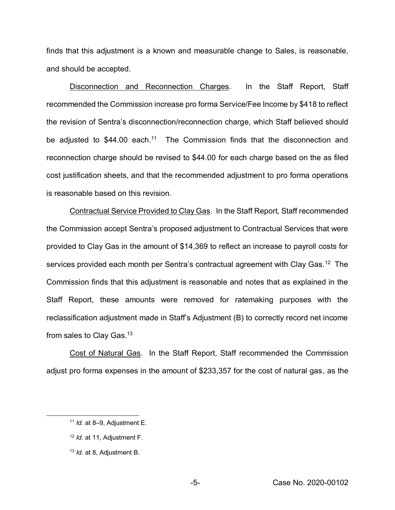finds that this adjustment is a known and measurable change to Sales, is reasonable, and should be accepted.

Disconnection and Reconnection Charges. In the Staff Report, Staff recommended the Commission increase pro forma Service/Fee Income by \$418 to reflect the revision of Sentra's disconnection/reconnection charge, which Staff believed should be adjusted to \$44.00 each.<sup>11</sup> The Commission finds that the disconnection and reconnection charge should be revised to \$44.00 for each charge based on the as filed cost justification sheets, and that the recommended adjustment to pro forma operations is reasonable based on this revision.

Contractual Service Provided to Clay Gas. In the Staff Report, Staff recommended the Commission accept Sentra's proposed adjustment to Contractual Services that were provided to Clay Gas in the amount of \$14,369 to reflect an increase to payroll costs for services provided each month per Sentra's contractual agreement with Clay Gas.<sup>12</sup> The Commission finds that this adjustment is reasonable and notes that as explained in the Staff Report, these amounts were removed for ratemaking purposes with the reclassification adjustment made in Staff's Adjustment (B) to correctly record net income from sales to Clay Gas.13

Cost of Natural Gas. In the Staff Report, Staff recommended the Commission adjust pro forma expenses in the amount of \$233,357 for the cost of natural gas, as the

 <sup>11</sup> *Id.* at 8–9, Adjustment E.

<sup>12</sup> *Id.* at 11, Adjustment F.

<sup>13</sup> *Id.* at 8, Adjustment B.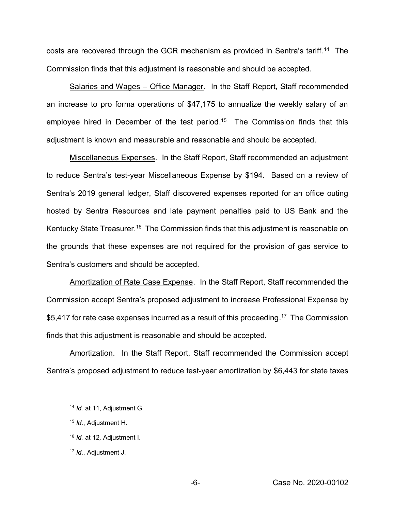costs are recovered through the GCR mechanism as provided in Sentra's tariff.<sup>14</sup> The Commission finds that this adjustment is reasonable and should be accepted.

Salaries and Wages - Office Manager. In the Staff Report, Staff recommended an increase to pro forma operations of \$47,175 to annualize the weekly salary of an employee hired in December of the test period.<sup>15</sup> The Commission finds that this adjustment is known and measurable and reasonable and should be accepted.

Miscellaneous Expenses. In the Staff Report, Staff recommended an adjustment to reduce Sentra's test-year Miscellaneous Expense by \$194. Based on a review of Sentra's 2019 general ledger, Staff discovered expenses reported for an office outing hosted by Sentra Resources and late payment penalties paid to US Bank and the Kentucky State Treasurer.<sup>16</sup> The Commission finds that this adjustment is reasonable on the grounds that these expenses are not required for the provision of gas service to Sentra's customers and should be accepted.

Amortization of Rate Case Expense. In the Staff Report, Staff recommended the Commission accept Sentra's proposed adjustment to increase Professional Expense by \$5,417 for rate case expenses incurred as a result of this proceeding.<sup>17</sup> The Commission finds that this adjustment is reasonable and should be accepted.

Amortization. In the Staff Report, Staff recommended the Commission accept Sentra's proposed adjustment to reduce test-year amortization by \$6,443 for state taxes

 <sup>14</sup> *Id.* at 11, Adjustment G.

<sup>15</sup> *Id*., Adjustment H.

<sup>16</sup> *Id.* at 12*,* Adjustment I.

<sup>17</sup> *Id*., Adjustment J.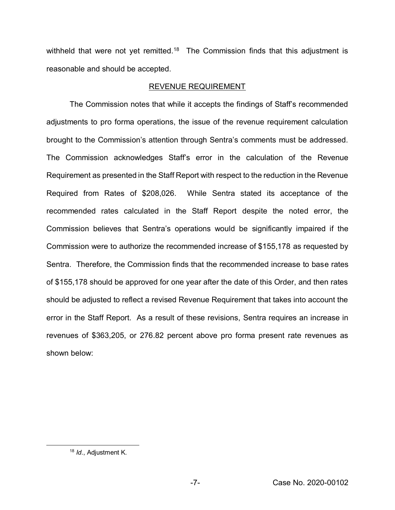withheld that were not yet remitted.<sup>18</sup> The Commission finds that this adjustment is reasonable and should be accepted.

### REVENUE REQUIREMENT

The Commission notes that while it accepts the findings of Staff's recommended adjustments to pro forma operations, the issue of the revenue requirement calculation brought to the Commission's attention through Sentra's comments must be addressed. The Commission acknowledges Staff's error in the calculation of the Revenue Requirement as presented in the Staff Report with respect to the reduction in the Revenue Required from Rates of \$208,026. While Sentra stated its acceptance of the recommended rates calculated in the Staff Report despite the noted error, the Commission believes that Sentra's operations would be significantly impaired if the Commission were to authorize the recommended increase of \$155,178 as requested by Sentra. Therefore, the Commission finds that the recommended increase to base rates of \$155,178 should be approved for one year after the date of this Order, and then rates should be adjusted to reflect a revised Revenue Requirement that takes into account the error in the Staff Report. As a result of these revisions, Sentra requires an increase in revenues of \$363,205, or 276.82 percent above pro forma present rate revenues as shown below:

 <sup>18</sup> *Id*., Adjustment K.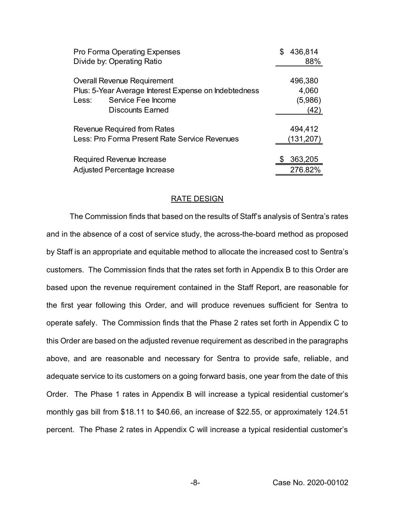| Pro Forma Operating Expenses                          |  | 436,814   |
|-------------------------------------------------------|--|-----------|
| Divide by: Operating Ratio                            |  | 88%       |
|                                                       |  |           |
| Overall Revenue Requirement                           |  | 496,380   |
| Plus: 5-Year Average Interest Expense on Indebtedness |  | 4,060     |
| Service Fee Income<br>Less:                           |  | (5,986)   |
| <b>Discounts Earned</b>                               |  | (42)      |
| <b>Revenue Required from Rates</b>                    |  | 494,412   |
| Less: Pro Forma Present Rate Service Revenues         |  | (131,207) |
| Required Revenue Increase                             |  | 363,205   |
|                                                       |  |           |
| Adjusted Percentage Increase                          |  | 276.82%   |

#### RATE DESIGN

The Commission finds that based on the results of Staff's analysis of Sentra's rates and in the absence of a cost of service study, the across-the-board method as proposed by Staff is an appropriate and equitable method to allocate the increased cost to Sentra's customers. The Commission finds that the rates set forth in Appendix B to this Order are based upon the revenue requirement contained in the Staff Report, are reasonable for the first year following this Order, and will produce revenues sufficient for Sentra to operate safely. The Commission finds that the Phase 2 rates set forth in Appendix C to this Order are based on the adjusted revenue requirement as described in the paragraphs above, and are reasonable and necessary for Sentra to provide safe, reliable, and adequate service to its customers on a going forward basis, one year from the date of this Order. The Phase 1 rates in Appendix B will increase a typical residential customer's monthly gas bill from \$18.11 to \$40.66, an increase of \$22.55, or approximately 124.51 percent. The Phase 2 rates in Appendix C will increase a typical residential customer's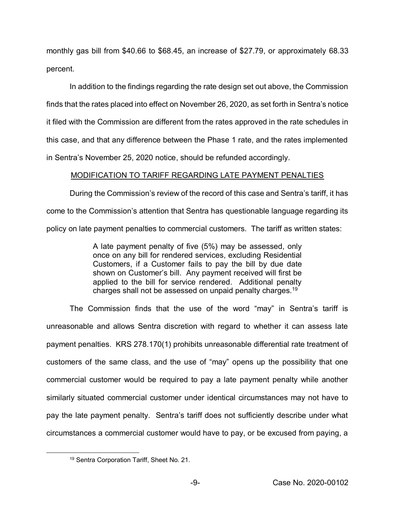monthly gas bill from \$40.66 to \$68.45, an increase of \$27.79, or approximately 68.33 percent.

In addition to the findings regarding the rate design set out above, the Commission finds that the rates placed into effect on November 26, 2020, as set forth in Sentra's notice it filed with the Commission are different from the rates approved in the rate schedules in this case, and that any difference between the Phase 1 rate, and the rates implemented in Sentra's November 25, 2020 notice, should be refunded accordingly.

# MODIFICATION TO TARIFF REGARDING LATE PAYMENT PENALTIES

During the Commission's review of the record of this case and Sentra's tariff, it has come to the Commission's attention that Sentra has questionable language regarding its policy on late payment penalties to commercial customers. The tariff as written states:

> A late payment penalty of five (5%) may be assessed, only once on any bill for rendered services, excluding Residential Customers, if a Customer fails to pay the bill by due date shown on Customer's bill. Any payment received will first be applied to the bill for service rendered. Additional penalty charges shall not be assessed on unpaid penalty charges.<sup>19</sup>

The Commission finds that the use of the word "may" in Sentra's tariff is unreasonable and allows Sentra discretion with regard to whether it can assess late payment penalties. KRS 278.170(1) prohibits unreasonable differential rate treatment of customers of the same class, and the use of "may" opens up the possibility that one commercial customer would be required to pay a late payment penalty while another similarly situated commercial customer under identical circumstances may not have to pay the late payment penalty. Sentra's tariff does not sufficiently describe under what circumstances a commercial customer would have to pay, or be excused from paying, a

 <sup>19</sup> Sentra Corporation Tariff, Sheet No. 21.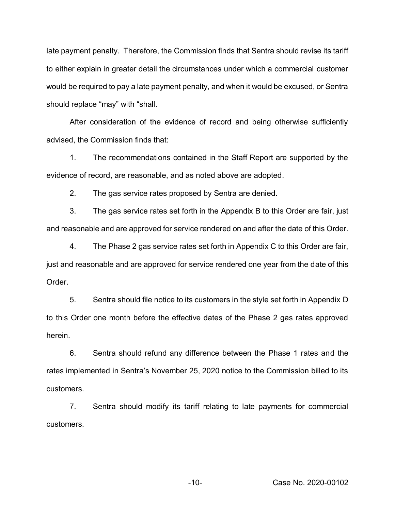late payment penalty. Therefore, the Commission finds that Sentra should revise its tariff to either explain in greater detail the circumstances under which a commercial customer would be required to pay a late payment penalty, and when it would be excused, or Sentra should replace "may" with "shall.

After consideration of the evidence of record and being otherwise sufficiently advised, the Commission finds that:

1. The recommendations contained in the Staff Report are supported by the evidence of record, are reasonable, and as noted above are adopted.

2. The gas service rates proposed by Sentra are denied.

3. The gas service rates set forth in the Appendix B to this Order are fair, just and reasonable and are approved for service rendered on and after the date of this Order.

4. The Phase 2 gas service rates set forth in Appendix C to this Order are fair, just and reasonable and are approved for service rendered one year from the date of this Order.

5. Sentra should file notice to its customers in the style set forth in Appendix D to this Order one month before the effective dates of the Phase 2 gas rates approved herein.

6. Sentra should refund any difference between the Phase 1 rates and the rates implemented in Sentra's November 25, 2020 notice to the Commission billed to its customers.

7. Sentra should modify its tariff relating to late payments for commercial customers.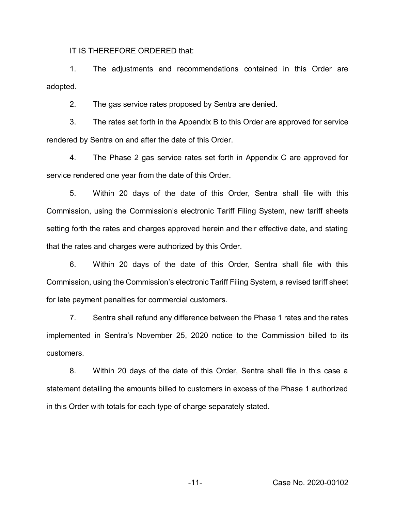IT IS THEREFORE ORDERED that:

1. The adjustments and recommendations contained in this Order are adopted.

2. The gas service rates proposed by Sentra are denied.

3. The rates set forth in the Appendix B to this Order are approved for service rendered by Sentra on and after the date of this Order.

4. The Phase 2 gas service rates set forth in Appendix C are approved for service rendered one year from the date of this Order.

5. Within 20 days of the date of this Order, Sentra shall file with this Commission, using the Commission's electronic Tariff Filing System, new tariff sheets setting forth the rates and charges approved herein and their effective date, and stating that the rates and charges were authorized by this Order.

6. Within 20 days of the date of this Order, Sentra shall file with this Commission, using the Commission's electronic Tariff Filing System, a revised tariff sheet for late payment penalties for commercial customers.

7. Sentra shall refund any difference between the Phase 1 rates and the rates implemented in Sentra's November 25, 2020 notice to the Commission billed to its customers.

8. Within 20 days of the date of this Order, Sentra shall file in this case a statement detailing the amounts billed to customers in excess of the Phase 1 authorized in this Order with totals for each type of charge separately stated.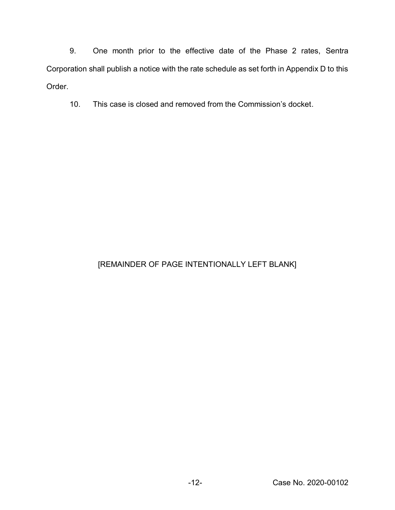9. One month prior to the effective date of the Phase 2 rates, Sentra Corporation shall publish a notice with the rate schedule as set forth in Appendix D to this Order.

10. This case is closed and removed from the Commission's docket.

# [REMAINDER OF PAGE INTENTIONALLY LEFT BLANK]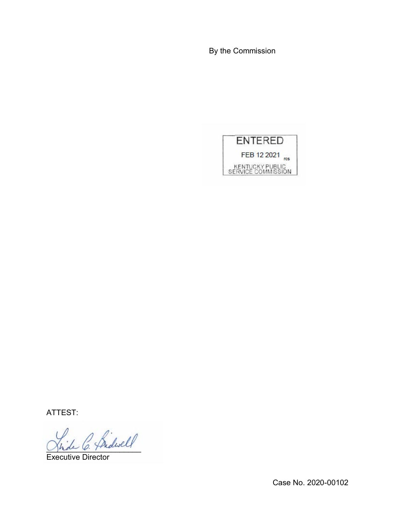By the Commission



ATTEST:

2 Bidwell

Executive Director

Case No. 2020-00102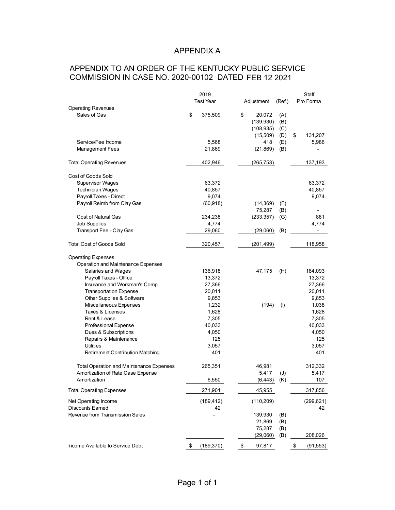# APPENDIX A

# APPENDIX TO AN ORDER OF THE KENTUCKY PUBLIC SERVICE COMMISSION IN CASE NO. 2020-00102 DATED FEB 12 2021

|                                                                 | 2019<br><b>Test Year</b> |            | Adjustment |    | (Ref.)                             | Staff<br>Pro Forma |    |                  |
|-----------------------------------------------------------------|--------------------------|------------|------------|----|------------------------------------|--------------------|----|------------------|
| <b>Operating Revenues</b><br>Sales of Gas                       | \$                       | 375,509    |            | \$ | 20,072<br>(139, 930)<br>(108, 935) | (A)<br>(B)<br>(C)  |    |                  |
| Service/Fee Income                                              |                          | 5,568      |            |    | (15, 509)<br>418                   | (D)                | \$ | 131,207<br>5,986 |
| <b>Management Fees</b>                                          |                          | 21,869     |            |    | (21, 869)                          | (E)<br>(B)         |    |                  |
|                                                                 |                          |            |            |    |                                    |                    |    |                  |
| <b>Total Operating Revenues</b>                                 |                          | 402,946    |            |    | (265, 753)                         |                    |    | 137,193          |
| Cost of Goods Sold                                              |                          |            |            |    |                                    |                    |    |                  |
| <b>Supervisor Wages</b>                                         |                          | 63,372     |            |    |                                    |                    |    | 63,372           |
| <b>Technician Wages</b>                                         |                          | 40,857     |            |    |                                    |                    |    | 40,857           |
| Payroll Taxes - Direct                                          |                          | 9,074      |            |    |                                    |                    |    | 9,074            |
| Payroll Reimb from Clay Gas                                     |                          | (60, 918)  |            |    | (14, 369)                          | (F)                |    |                  |
|                                                                 |                          |            |            |    | 75,287                             | (B)                |    |                  |
| <b>Cost of Natural Gas</b>                                      |                          | 234,238    |            |    | (233, 357)                         | (G)                |    | 881              |
| Job Supplies                                                    |                          | 4,774      |            |    |                                    |                    |    | 4,774            |
| Transport Fee - Clay Gas                                        |                          | 29,060     |            |    | (29,060)                           | (B)                |    |                  |
| <b>Total Cost of Goods Sold</b>                                 |                          | 320,457    |            |    | (201, 499)                         |                    |    | 118,958          |
| <b>Operating Expenses</b><br>Operation and Maintenance Expenses |                          |            |            |    |                                    |                    |    |                  |
| Salaries and Wages                                              |                          | 136,918    |            |    | 47,175                             | (H)                |    | 184,093          |
| Payroll Taxes - Office                                          |                          | 13,372     |            |    |                                    |                    |    | 13,372           |
| Insurance and Workman's Comp                                    |                          | 27,366     |            |    |                                    |                    |    | 27,366           |
|                                                                 |                          | 20,011     |            |    |                                    |                    |    | 20,011           |
| <b>Transportation Expense</b>                                   |                          | 9,853      |            |    |                                    |                    |    | 9,853            |
| Other Supplies & Software                                       |                          | 1,232      |            |    |                                    |                    |    |                  |
| Miscellaneous Expenses<br>Taxes & Licenses                      |                          | 1,628      |            |    | (194)                              | (1)                |    | 1,038<br>1,628   |
| Rent & Lease                                                    |                          | 7,305      |            |    |                                    |                    |    | 7,305            |
|                                                                 |                          | 40,033     |            |    |                                    |                    |    | 40,033           |
| Professional Expense                                            |                          | 4,050      |            |    |                                    |                    |    | 4,050            |
| Dues & Subscriptions<br>Repairs & Maintenance                   |                          | 125        |            |    |                                    |                    |    | 125              |
| Utilities                                                       |                          | 3,057      |            |    |                                    |                    |    | 3,057            |
| <b>Retirement Contribution Matching</b>                         |                          | 401        |            |    |                                    |                    |    | 401              |
|                                                                 |                          |            |            |    |                                    |                    |    |                  |
| <b>Total Operation and Maintenance Expenses</b>                 |                          | 265,351    |            |    | 46,981                             |                    |    | 312,332          |
| Amortization of Rate Case Expense                               |                          |            |            |    | 5,417                              | (J)                |    | 5,417            |
| Amortization                                                    |                          | 6,550      |            |    | $(6,443)$ (K)                      |                    |    | 107              |
| <b>Total Operating Expenses</b>                                 |                          | 271,901    |            |    | 45,955                             |                    |    | 317,856          |
| Net Operating Income                                            |                          | (189, 412) |            |    | (110, 209)                         |                    |    | (299, 621)       |
| <b>Discounts Earned</b>                                         |                          | 42         |            |    |                                    |                    |    | 42               |
| Revenue from Transmission Sales                                 |                          |            |            |    | 139,930<br>21,869                  | (B)<br>(B)         |    |                  |
|                                                                 |                          |            |            |    | 75,287<br>(29,060)                 | (B)<br>(B)         |    | 208,026          |
|                                                                 |                          |            |            |    |                                    |                    |    |                  |
| Income Available to Service Debt                                | \$                       | (189, 370) |            | \$ | 97,817                             |                    | \$ | (91, 553)        |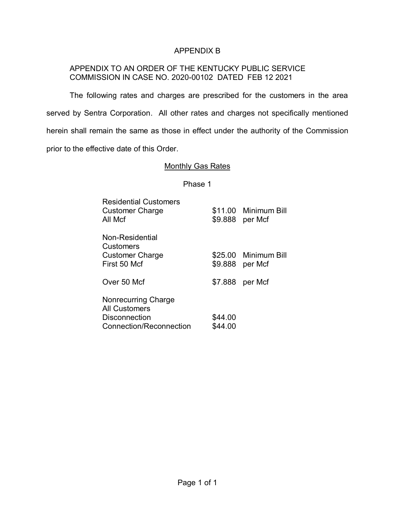# APPENDIX B

# APPENDIX TO AN ORDER OF THE KENTUCKY PUBLIC SERVICE COMMISSION IN CASE NO. 2020-00102 DATED FEB 12 2021

The following rates and charges are prescribed for the customers in the area served by Sentra Corporation. All other rates and charges not specifically mentioned herein shall remain the same as those in effect under the authority of the Commission prior to the effective date of this Order.

### **Monthly Gas Rates**

### Phase 1

| <b>Residential Customers</b><br><b>Customer Charge</b><br>All Mcf                              | \$9.888            | \$11.00 Minimum Bill<br>per Mcf |
|------------------------------------------------------------------------------------------------|--------------------|---------------------------------|
| Non-Residential<br><b>Customers</b><br><b>Customer Charge</b><br>First 50 Mcf                  | \$9.888            | \$25.00 Minimum Bill<br>per Mcf |
| Over 50 Mcf                                                                                    | \$7.888            | per Mcf                         |
| <b>Nonrecurring Charge</b><br><b>All Customers</b><br>Disconnection<br>Connection/Reconnection | \$44.00<br>\$44.00 |                                 |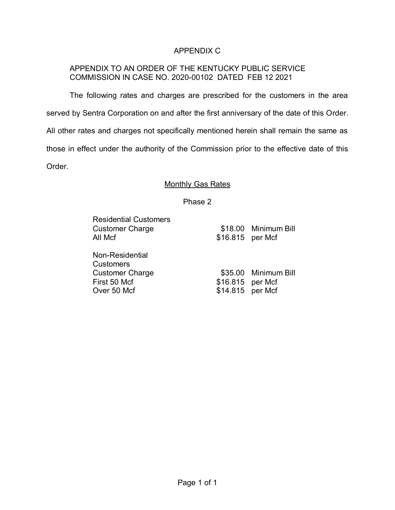# APPENDIX C

# APPENDIX TO AN ORDER OF THE KENTUCKY PUBLIC SERVICE COMMISSION IN CASE NO. 2020-00102 DATED FEB 12 2021

The following rates and charges are prescribed for the customers in the area served by Sentra Corporation on and after the first anniversary of the date of this Order. All other rates and charges not specifically mentioned herein shall remain the same as those in effect under the authority of the Commission prior to the effective date of this Order.

### Monthly Gas Rates

Phase 2

| <b>Residential Customers</b> |                  |                      |
|------------------------------|------------------|----------------------|
| <b>Customer Charge</b>       |                  | \$18.00 Minimum Bill |
| All Mcf                      | \$16.815 per Mcf |                      |

Non-Residential Customers First 50 Mcf \$16.815 per Mcf Over 50 Mcf  $$14.815$  per Mcf

Customer Charge **\$35.00 Minimum Bill**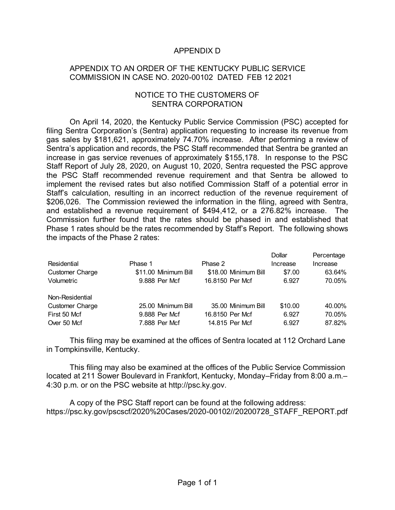# APPENDIX D

### APPENDIX TO AN ORDER OF THE KENTUCKY PUBLIC SERVICE COMMISSION IN CASE NO. 2020-00102 DATED FEB 12 2021

### NOTICE TO THE CUSTOMERS OF SENTRA CORPORATION

On April 14, 2020, the Kentucky Public Service Commission (PSC) accepted for filing Sentra Corporation's (Sentra) application requesting to increase its revenue from gas sales by \$181,621, approximately 74.70% increase. After performing a review of Sentra's application and records, the PSC Staff recommended that Sentra be granted an increase in gas service revenues of approximately \$155,178. In response to the PSC Staff Report of July 28, 2020, on August 10, 2020, Sentra requested the PSC approve the PSC Staff recommended revenue requirement and that Sentra be allowed to implement the revised rates but also notified Commission Staff of a potential error in Staff's calculation, resulting in an incorrect reduction of the revenue requirement of \$206,026. The Commission reviewed the information in the filing, agreed with Sentra, and established a revenue requirement of \$494,412, or a 276.82% increase. The Commission further found that the rates should be phased in and established that Phase 1 rates should be the rates recommended by Staff's Report. The following shows the impacts of the Phase 2 rates:

|                        |                      |                      | Dollar   | Percentage |
|------------------------|----------------------|----------------------|----------|------------|
| Residential            | Phase 1              | Phase 2              | Increase | Increase   |
| <b>Customer Charge</b> | \$11.00 Minimum Bill | \$18.00 Minimum Bill | \$7.00   | 63.64%     |
| Volumetric             | 9.888 Per Mcf        | 16.8150 Per Mcf      | 6.927    | 70.05%     |
| Non-Residential        |                      |                      |          |            |
| <b>Customer Charge</b> | 25.00 Minimum Bill   | 35.00 Minimum Bill   | \$10.00  | 40.00%     |
| First 50 Mcf           | 9.888 Per Mcf        | 16.8150 Per Mcf      | 6.927    | 70.05%     |
| Over 50 Mcf            | 7.888 Per Mcf        | 14.815 Per Mcf       | 6.927    | 87.82%     |

This filing may be examined at the offices of Sentra located at 112 Orchard Lane in Tompkinsville, Kentucky.

This filing may also be examined at the offices of the Public Service Commission located at 211 Sower Boulevard in Frankfort, Kentucky, Monday–Friday from 8:00 a.m.– 4:30 p.m. or on the PSC website at http://psc.ky.gov.

A copy of the PSC Staff report can be found at the following address: https://psc.ky.gov/pscscf/2020%20Cases/2020-00102//20200728\_STAFF\_REPORT.pdf